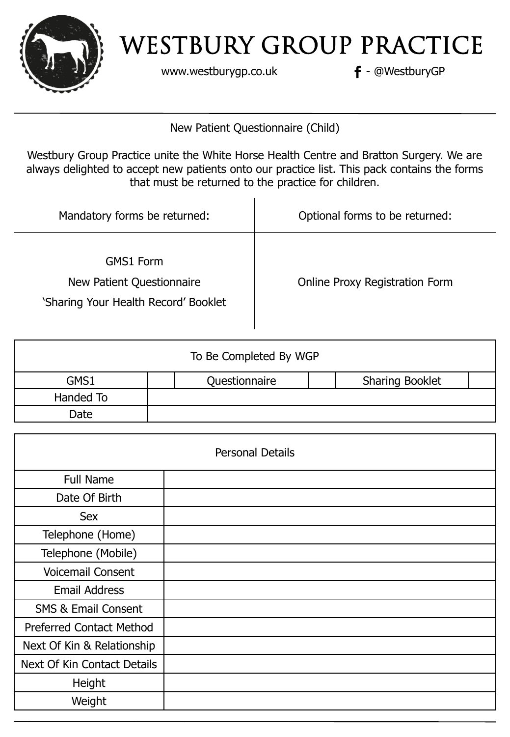

www.westburygp.co.uk **f** - @WestburyGP

New Patient Questionnaire (Child)

Westbury Group Practice unite the White Horse Health Centre and Bratton Surgery. We are always delighted to accept new patients onto our practice list. This pack contains the forms that must be returned to the practice for children.

| Mandatory forms be returned:                                                   | Optional forms to be returned:        |
|--------------------------------------------------------------------------------|---------------------------------------|
| GMS1 Form<br>New Patient Questionnaire<br>'Sharing Your Health Record' Booklet | <b>Online Proxy Registration Form</b> |

|           | To Be Completed By WGP |                        |
|-----------|------------------------|------------------------|
| GMS1      | Questionnaire          | <b>Sharing Booklet</b> |
| Handed To |                        |                        |
| Date      |                        |                        |

| <b>Personal Details</b>         |  |  |
|---------------------------------|--|--|
| <b>Full Name</b>                |  |  |
| Date Of Birth                   |  |  |
| Sex                             |  |  |
| Telephone (Home)                |  |  |
| Telephone (Mobile)              |  |  |
| <b>Voicemail Consent</b>        |  |  |
| <b>Email Address</b>            |  |  |
| <b>SMS &amp; Email Consent</b>  |  |  |
| <b>Preferred Contact Method</b> |  |  |
| Next Of Kin & Relationship      |  |  |
| Next Of Kin Contact Details     |  |  |
| Height                          |  |  |
| Weight                          |  |  |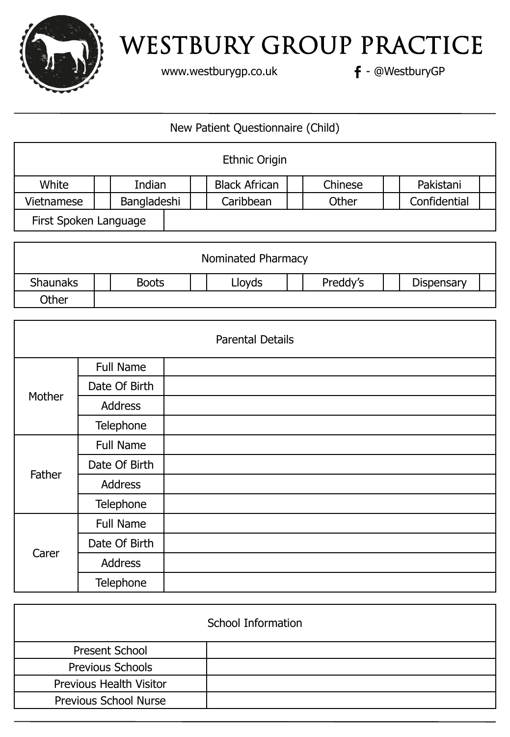

www.westburygp.co.uk **f** - @WestburyGP

#### New Patient Questionnaire (Child)

|                       |             |  | <b>Ethnic Origin</b> |         |              |  |
|-----------------------|-------------|--|----------------------|---------|--------------|--|
| White                 | Indian      |  | <b>Black African</b> | Chinese | Pakistani    |  |
| Vietnamese            | Bangladeshi |  | Caribbean            | Other   | Confidential |  |
| First Spoken Language |             |  |                      |         |              |  |

|                 |              | Nominated Pharmacy |          |            |  |
|-----------------|--------------|--------------------|----------|------------|--|
| <b>Shaunaks</b> | <b>Boots</b> | Lloyds             | Preddy's | Dispensary |  |
| Other           |              |                    |          |            |  |

| <b>Parental Details</b> |                  |  |  |  |
|-------------------------|------------------|--|--|--|
|                         | <b>Full Name</b> |  |  |  |
|                         | Date Of Birth    |  |  |  |
| Mother                  | Address          |  |  |  |
|                         | Telephone        |  |  |  |
|                         | <b>Full Name</b> |  |  |  |
|                         | Date Of Birth    |  |  |  |
| Father                  | Address          |  |  |  |
|                         | Telephone        |  |  |  |
|                         | <b>Full Name</b> |  |  |  |
| Carer                   | Date Of Birth    |  |  |  |
|                         | Address          |  |  |  |
|                         | Telephone        |  |  |  |

| School Information             |  |  |  |
|--------------------------------|--|--|--|
| <b>Present School</b>          |  |  |  |
| Previous Schools               |  |  |  |
| <b>Previous Health Visitor</b> |  |  |  |
| <b>Previous School Nurse</b>   |  |  |  |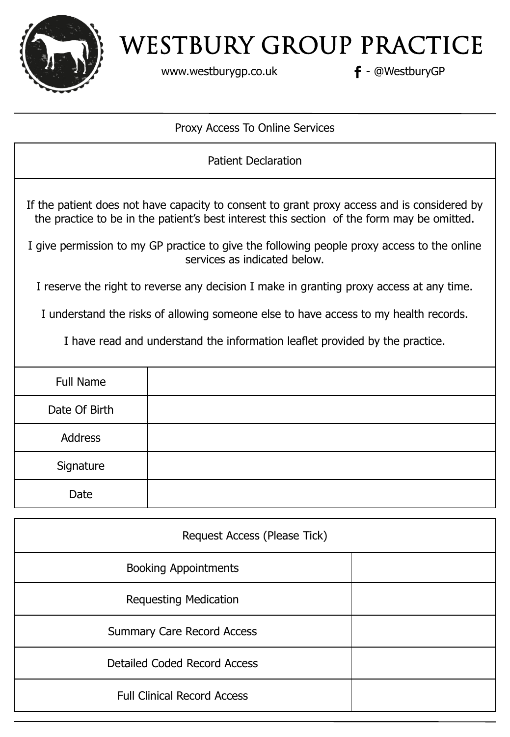

www.westburygp.co.uk **f** - @WestburyGP

#### Proxy Access To Online Services

Patient Declaration If the patient does not have capacity to consent to grant proxy access and is considered by the practice to be in the patient's best interest this section of the form may be omitted. I give permission to my GP practice to give the following people proxy access to the online services as indicated below. I reserve the right to reverse any decision I make in granting proxy access at any time. I understand the risks of allowing someone else to have access to my health records. I have read and understand the information leaflet provided by the practice. Full Name Date Of Birth Address **Signature** Date

| Request Access (Please Tick)       |  |  |  |
|------------------------------------|--|--|--|
| <b>Booking Appointments</b>        |  |  |  |
| <b>Requesting Medication</b>       |  |  |  |
| <b>Summary Care Record Access</b>  |  |  |  |
| Detailed Coded Record Access       |  |  |  |
| <b>Full Clinical Record Access</b> |  |  |  |